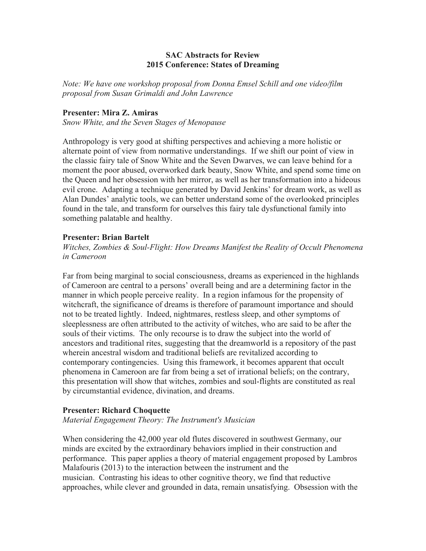## **SAC Abstracts for Review 2015 Conference: States of Dreaming**

*Note: We have one workshop proposal from Donna Emsel Schill and one video/film proposal from Susan Grimaldi and John Lawrence* 

#### **Presenter: Mira Z. Amiras**

*Snow White, and the Seven Stages of Menopause*

Anthropology is very good at shifting perspectives and achieving a more holistic or alternate point of view from normative understandings. If we shift our point of view in the classic fairy tale of Snow White and the Seven Dwarves, we can leave behind for a moment the poor abused, overworked dark beauty, Snow White, and spend some time on the Queen and her obsession with her mirror, as well as her transformation into a hideous evil crone. Adapting a technique generated by David Jenkins' for dream work, as well as Alan Dundes' analytic tools, we can better understand some of the overlooked principles found in the tale, and transform for ourselves this fairy tale dysfunctional family into something palatable and healthy.

#### **Presenter: Brian Bartelt**

*Witches, Zombies & Soul-Flight: How Dreams Manifest the Reality of Occult Phenomena in Cameroon* 

Far from being marginal to social consciousness, dreams as experienced in the highlands of Cameroon are central to a persons' overall being and are a determining factor in the manner in which people perceive reality. In a region infamous for the propensity of witchcraft, the significance of dreams is therefore of paramount importance and should not to be treated lightly. Indeed, nightmares, restless sleep, and other symptoms of sleeplessness are often attributed to the activity of witches, who are said to be after the souls of their victims. The only recourse is to draw the subject into the world of ancestors and traditional rites, suggesting that the dreamworld is a repository of the past wherein ancestral wisdom and traditional beliefs are revitalized according to contemporary contingencies. Using this framework, it becomes apparent that occult phenomena in Cameroon are far from being a set of irrational beliefs; on the contrary, this presentation will show that witches, zombies and soul-flights are constituted as real by circumstantial evidence, divination, and dreams.

## **Presenter: Richard Choquette**

*Material Engagement Theory: The Instrument's Musician*

When considering the 42,000 year old flutes discovered in southwest Germany, our minds are excited by the extraordinary behaviors implied in their construction and performance. This paper applies a theory of material engagement proposed by Lambros Malafouris (2013) to the interaction between the instrument and the musician. Contrasting his ideas to other cognitive theory, we find that reductive approaches, while clever and grounded in data, remain unsatisfying. Obsession with the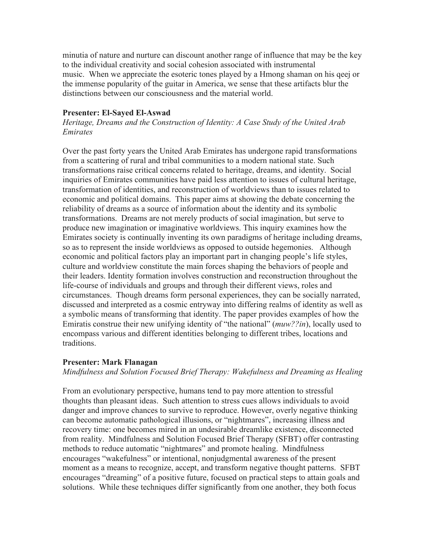minutia of nature and nurture can discount another range of influence that may be the key to the individual creativity and social cohesion associated with instrumental music. When we appreciate the esoteric tones played by a Hmong shaman on his qeej or the immense popularity of the guitar in America, we sense that these artifacts blur the distinctions between our consciousness and the material world.

## **Presenter: El-Sayed El-Aswad**

*Heritage, Dreams and the Construction of Identity: A Case Study of the United Arab Emirates* 

Over the past forty years the United Arab Emirates has undergone rapid transformations from a scattering of rural and tribal communities to a modern national state. Such transformations raise critical concerns related to heritage, dreams, and identity. Social inquiries of Emirates communities have paid less attention to issues of cultural heritage, transformation of identities, and reconstruction of worldviews than to issues related to economic and political domains. This paper aims at showing the debate concerning the reliability of dreams as a source of information about the identity and its symbolic transformations. Dreams are not merely products of social imagination, but serve to produce new imagination or imaginative worldviews. This inquiry examines how the Emirates society is continually inventing its own paradigms of heritage including dreams, so as to represent the inside worldviews as opposed to outside hegemonies. Although economic and political factors play an important part in changing people's life styles, culture and worldview constitute the main forces shaping the behaviors of people and their leaders. Identity formation involves construction and reconstruction throughout the life-course of individuals and groups and through their different views, roles and circumstances. Though dreams form personal experiences, they can be socially narrated, discussed and interpreted as a cosmic entryway into differing realms of identity as well as a symbolic means of transforming that identity. The paper provides examples of how the Emiratis construe their new unifying identity of "the national" (*muw??in*), locally used to encompass various and different identities belonging to different tribes, locations and traditions.

## **Presenter: Mark Flanagan**

*Mindfulness and Solution Focused Brief Therapy: Wakefulness and Dreaming as Healing* 

From an evolutionary perspective, humans tend to pay more attention to stressful thoughts than pleasant ideas. Such attention to stress cues allows individuals to avoid danger and improve chances to survive to reproduce. However, overly negative thinking can become automatic pathological illusions, or "nightmares", increasing illness and recovery time: one becomes mired in an undesirable dreamlike existence, disconnected from reality. Mindfulness and Solution Focused Brief Therapy (SFBT) offer contrasting methods to reduce automatic "nightmares" and promote healing. Mindfulness encourages "wakefulness" or intentional, nonjudgmental awareness of the present moment as a means to recognize, accept, and transform negative thought patterns. SFBT encourages "dreaming" of a positive future, focused on practical steps to attain goals and solutions. While these techniques differ significantly from one another, they both focus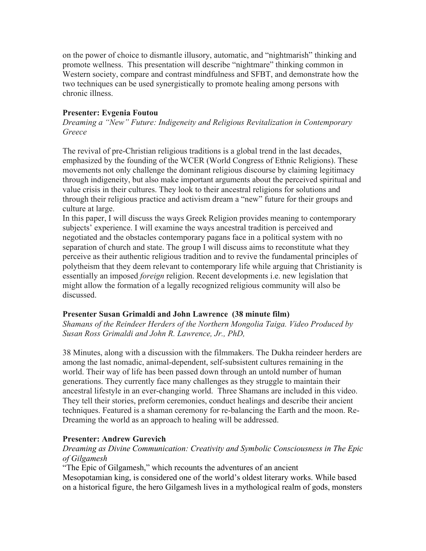on the power of choice to dismantle illusory, automatic, and "nightmarish" thinking and promote wellness. This presentation will describe "nightmare" thinking common in Western society, compare and contrast mindfulness and SFBT, and demonstrate how the two techniques can be used synergistically to promote healing among persons with chronic illness.

# **Presenter: Evgenia Foutou**

*Dreaming a "New" Future: Indigeneity and Religious Revitalization in Contemporary Greece* 

The revival of pre-Christian religious traditions is a global trend in the last decades, emphasized by the founding of the WCER (World Congress of Ethnic Religions). These movements not only challenge the dominant religious discourse by claiming legitimacy through indigeneity, but also make important arguments about the perceived spiritual and value crisis in their cultures. They look to their ancestral religions for solutions and through their religious practice and activism dream a "new" future for their groups and culture at large.

In this paper, I will discuss the ways Greek Religion provides meaning to contemporary subjects' experience. I will examine the ways ancestral tradition is perceived and negotiated and the obstacles contemporary pagans face in a political system with no separation of church and state. The group I will discuss aims to reconstitute what they perceive as their authentic religious tradition and to revive the fundamental principles of polytheism that they deem relevant to contemporary life while arguing that Christianity is essentially an imposed *foreign* religion. Recent developments i.e. new legislation that might allow the formation of a legally recognized religious community will also be discussed.

## **Presenter Susan Grimaldi and John Lawrence (38 minute film)**

*Shamans of the Reindeer Herders of the Northern Mongolia Taiga. Video Produced by Susan Ross Grimaldi and John R. Lawrence, Jr., PhD,*

38 Minutes, along with a discussion with the filmmakers. The Dukha reindeer herders are among the last nomadic, animal-dependent, self-subsistent cultures remaining in the world. Their way of life has been passed down through an untold number of human generations. They currently face many challenges as they struggle to maintain their ancestral lifestyle in an ever-changing world. Three Shamans are included in this video. They tell their stories, preform ceremonies, conduct healings and describe their ancient techniques. Featured is a shaman ceremony for re-balancing the Earth and the moon. Re-Dreaming the world as an approach to healing will be addressed.

## **Presenter: Andrew Gurevich**

# *Dreaming as Divine Communication: Creativity and Symbolic Consciousness in The Epic of Gilgamesh*

"The Epic of Gilgamesh," which recounts the adventures of an ancient Mesopotamian king, is considered one of the world's oldest literary works. While based on a historical figure, the hero Gilgamesh lives in a mythological realm of gods, monsters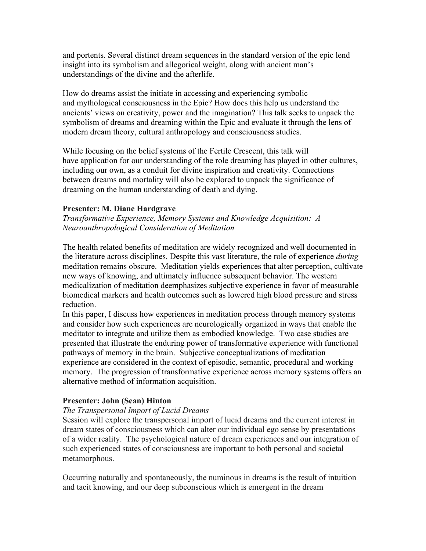and portents. Several distinct dream sequences in the standard version of the epic lend insight into its symbolism and allegorical weight, along with ancient man's understandings of the divine and the afterlife.

How do dreams assist the initiate in accessing and experiencing symbolic and mythological consciousness in the Epic? How does this help us understand the ancients' views on creativity, power and the imagination? This talk seeks to unpack the symbolism of dreams and dreaming within the Epic and evaluate it through the lens of modern dream theory, cultural anthropology and consciousness studies.

While focusing on the belief systems of the Fertile Crescent, this talk will have application for our understanding of the role dreaming has played in other cultures, including our own, as a conduit for divine inspiration and creativity. Connections between dreams and mortality will also be explored to unpack the significance of dreaming on the human understanding of death and dying.

## **Presenter: M. Diane Hardgrave**

*Transformative Experience, Memory Systems and Knowledge Acquisition: A Neuroanthropological Consideration of Meditation*

The health related benefits of meditation are widely recognized and well documented in the literature across disciplines. Despite this vast literature, the role of experience *during* meditation remains obscure. Meditation yields experiences that alter perception, cultivate new ways of knowing, and ultimately influence subsequent behavior. The western medicalization of meditation deemphasizes subjective experience in favor of measurable biomedical markers and health outcomes such as lowered high blood pressure and stress reduction.

In this paper, I discuss how experiences in meditation process through memory systems and consider how such experiences are neurologically organized in ways that enable the meditator to integrate and utilize them as embodied knowledge. Two case studies are presented that illustrate the enduring power of transformative experience with functional pathways of memory in the brain. Subjective conceptualizations of meditation experience are considered in the context of episodic, semantic, procedural and working memory. The progression of transformative experience across memory systems offers an alternative method of information acquisition.

# **Presenter: John (Sean) Hinton**

## *The Transpersonal Import of Lucid Dreams*

Session will explore the transpersonal import of lucid dreams and the current interest in dream states of consciousness which can alter our individual ego sense by presentations of a wider reality. The psychological nature of dream experiences and our integration of such experienced states of consciousness are important to both personal and societal metamorphous.

Occurring naturally and spontaneously, the numinous in dreams is the result of intuition and tacit knowing, and our deep subconscious which is emergent in the dream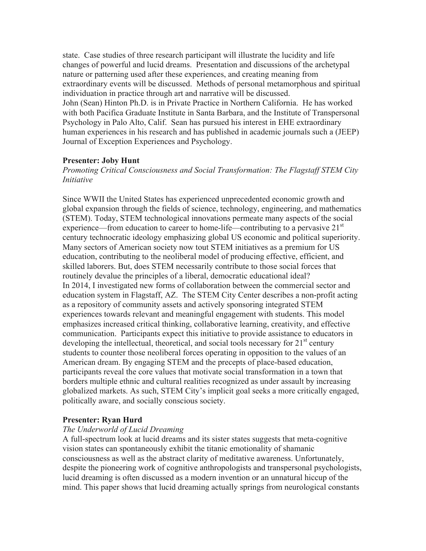state. Case studies of three research participant will illustrate the lucidity and life changes of powerful and lucid dreams. Presentation and discussions of the archetypal nature or patterning used after these experiences, and creating meaning from extraordinary events will be discussed. Methods of personal metamorphous and spiritual individuation in practice through art and narrative will be discussed. John (Sean) Hinton Ph.D. is in Private Practice in Northern California. He has worked with both Pacifica Graduate Institute in Santa Barbara, and the Institute of Transpersonal Psychology in Palo Alto, Calif. Sean has pursued his interest in EHE extraordinary human experiences in his research and has published in academic journals such a (JEEP) Journal of Exception Experiences and Psychology.

#### **Presenter: Joby Hunt**

*Promoting Critical Consciousness and Social Transformation: The Flagstaff STEM City Initiative* 

Since WWII the United States has experienced unprecedented economic growth and global expansion through the fields of science, technology, engineering, and mathematics (STEM). Today, STEM technological innovations permeate many aspects of the social experience—from education to career to home-life—contributing to a pervasive  $21<sup>st</sup>$ century technocratic ideology emphasizing global US economic and political superiority. Many sectors of American society now tout STEM initiatives as a premium for US education, contributing to the neoliberal model of producing effective, efficient, and skilled laborers. But, does STEM necessarily contribute to those social forces that routinely devalue the principles of a liberal, democratic educational ideal? In 2014, I investigated new forms of collaboration between the commercial sector and education system in Flagstaff, AZ. The STEM City Center describes a non-profit acting as a repository of community assets and actively sponsoring integrated STEM experiences towards relevant and meaningful engagement with students. This model emphasizes increased critical thinking, collaborative learning, creativity, and effective communication. Participants expect this initiative to provide assistance to educators in developing the intellectual, theoretical, and social tools necessary for  $21<sup>st</sup>$  century students to counter those neoliberal forces operating in opposition to the values of an American dream. By engaging STEM and the precepts of place-based education, participants reveal the core values that motivate social transformation in a town that borders multiple ethnic and cultural realities recognized as under assault by increasing globalized markets. As such, STEM City's implicit goal seeks a more critically engaged, politically aware, and socially conscious society.

## **Presenter: Ryan Hurd**

#### *The Underworld of Lucid Dreaming*

A full-spectrum look at lucid dreams and its sister states suggests that meta-cognitive vision states can spontaneously exhibit the titanic emotionality of shamanic consciousness as well as the abstract clarity of meditative awareness. Unfortunately, despite the pioneering work of cognitive anthropologists and transpersonal psychologists, lucid dreaming is often discussed as a modern invention or an unnatural hiccup of the mind. This paper shows that lucid dreaming actually springs from neurological constants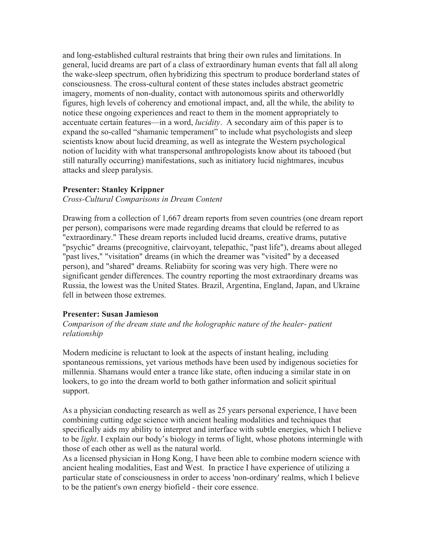and long-established cultural restraints that bring their own rules and limitations. In general, lucid dreams are part of a class of extraordinary human events that fall all along the wake-sleep spectrum, often hybridizing this spectrum to produce borderland states of consciousness. The cross-cultural content of these states includes abstract geometric imagery, moments of non-duality, contact with autonomous spirits and otherworldly figures, high levels of coherency and emotional impact, and, all the while, the ability to notice these ongoing experiences and react to them in the moment appropriately to accentuate certain features—in a word, *lucidity*. A secondary aim of this paper is to expand the so-called "shamanic temperament" to include what psychologists and sleep scientists know about lucid dreaming, as well as integrate the Western psychological notion of lucidity with what transpersonal anthropologists know about its tabooed (but still naturally occurring) manifestations, such as initiatory lucid nightmares, incubus attacks and sleep paralysis.

## **Presenter: Stanley Krippner**

*Cross-Cultural Comparisons in Dream Content* 

Drawing from a collection of 1,667 dream reports from seven countries (one dream report per person), comparisons were made regarding dreams that clould be referred to as "extraordinary." These dream reports included lucid dreams, creative drams, putative "psychic" dreams (precognitive, clairvoyant, telepathic, "past life"), dreams about alleged "past lives," "visitation" dreams (in which the dreamer was "visited" by a deceased person), and "shared" dreams. Reliabiity for scoring was very high. There were no significant gender differences. The country reporting the most extraordinary dreams was Russia, the lowest was the United States. Brazil, Argentina, England, Japan, and Ukraine fell in between those extremes.

#### **Presenter: Susan Jamieson**

*Comparison of the dream state and the holographic nature of the healer- patient relationship* 

Modern medicine is reluctant to look at the aspects of instant healing, including spontaneous remissions, yet various methods have been used by indigenous societies for millennia. Shamans would enter a trance like state, often inducing a similar state in on lookers, to go into the dream world to both gather information and solicit spiritual support.

As a physician conducting research as well as 25 years personal experience, I have been combining cutting edge science with ancient healing modalities and techniques that specifically aids my ability to interpret and interface with subtle energies, which I believe to be *light*. I explain our body's biology in terms of light, whose photons intermingle with those of each other as well as the natural world.

As a licensed physician in Hong Kong, I have been able to combine modern science with ancient healing modalities, East and West. In practice I have experience of utilizing a particular state of consciousness in order to access 'non-ordinary' realms, which I believe to be the patient's own energy biofield - their core essence.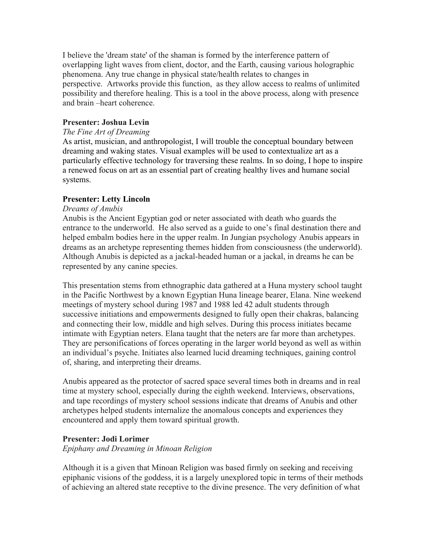I believe the 'dream state' of the shaman is formed by the interference pattern of overlapping light waves from client, doctor, and the Earth, causing various holographic phenomena. Any true change in physical state/health relates to changes in perspective. Artworks provide this function, as they allow access to realms of unlimited possibility and therefore healing. This is a tool in the above process, along with presence and brain –heart coherence.

# **Presenter: Joshua Levin**

#### *The Fine Art of Dreaming*

As artist, musician, and anthropologist, I will trouble the conceptual boundary between dreaming and waking states. Visual examples will be used to contextualize art as a particularly effective technology for traversing these realms. In so doing, I hope to inspire a renewed focus on art as an essential part of creating healthy lives and humane social systems.

## **Presenter: Letty Lincoln**

## *Dreams of Anubis*

Anubis is the Ancient Egyptian god or neter associated with death who guards the entrance to the underworld. He also served as a guide to one's final destination there and helped embalm bodies here in the upper realm. In Jungian psychology Anubis appears in dreams as an archetype representing themes hidden from consciousness (the underworld). Although Anubis is depicted as a jackal-headed human or a jackal, in dreams he can be represented by any canine species.

This presentation stems from ethnographic data gathered at a Huna mystery school taught in the Pacific Northwest by a known Egyptian Huna lineage bearer, Elana. Nine weekend meetings of mystery school during 1987 and 1988 led 42 adult students through successive initiations and empowerments designed to fully open their chakras, balancing and connecting their low, middle and high selves. During this process initiates became intimate with Egyptian neters. Elana taught that the neters are far more than archetypes. They are personifications of forces operating in the larger world beyond as well as within an individual's psyche. Initiates also learned lucid dreaming techniques, gaining control of, sharing, and interpreting their dreams.

Anubis appeared as the protector of sacred space several times both in dreams and in real time at mystery school, especially during the eighth weekend. Interviews, observations, and tape recordings of mystery school sessions indicate that dreams of Anubis and other archetypes helped students internalize the anomalous concepts and experiences they encountered and apply them toward spiritual growth.

## **Presenter: Jodi Lorimer**

*Epiphany and Dreaming in Minoan Religion* 

Although it is a given that Minoan Religion was based firmly on seeking and receiving epiphanic visions of the goddess, it is a largely unexplored topic in terms of their methods of achieving an altered state receptive to the divine presence. The very definition of what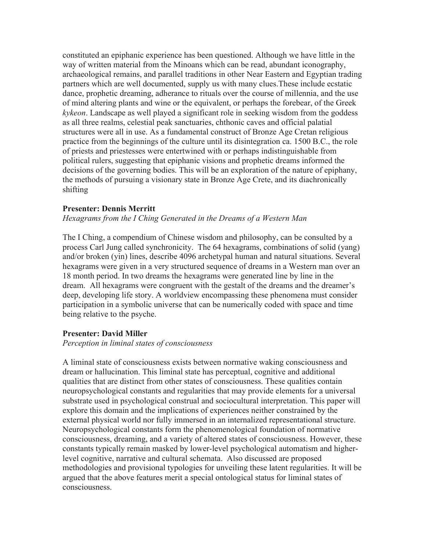constituted an epiphanic experience has been questioned. Although we have little in the way of written material from the Minoans which can be read, abundant iconography, archaeological remains, and parallel traditions in other Near Eastern and Egyptian trading partners which are well documented, supply us with many clues.These include ecstatic dance, prophetic dreaming, adherance to rituals over the course of millennia, and the use of mind altering plants and wine or the equivalent, or perhaps the forebear, of the Greek *kykeon*. Landscape as well played a significant role in seeking wisdom from the goddess as all three realms, celestial peak sanctuaries, chthonic caves and official palatial structures were all in use. As a fundamental construct of Bronze Age Cretan religious practice from the beginnings of the culture until its disintegration ca. 1500 B.C., the role of priests and priestesses were entertwined with or perhaps indistinguishable from political rulers, suggesting that epiphanic visions and prophetic dreams informed the decisions of the governing bodies. This will be an exploration of the nature of epiphany, the methods of pursuing a visionary state in Bronze Age Crete, and its diachronically shifting

#### **Presenter: Dennis Merritt**

#### *Hexagrams from the I Ching Generated in the Dreams of a Western Man*

The I Ching, a compendium of Chinese wisdom and philosophy, can be consulted by a process Carl Jung called synchronicity. The 64 hexagrams, combinations of solid (yang) and/or broken (yin) lines, describe 4096 archetypal human and natural situations. Several hexagrams were given in a very structured sequence of dreams in a Western man over an 18 month period. In two dreams the hexagrams were generated line by line in the dream. All hexagrams were congruent with the gestalt of the dreams and the dreamer's deep, developing life story. A worldview encompassing these phenomena must consider participation in a symbolic universe that can be numerically coded with space and time being relative to the psyche.

#### **Presenter: David Miller**

#### *Perception in liminal states of consciousness*

A liminal state of consciousness exists between normative waking consciousness and dream or hallucination. This liminal state has perceptual, cognitive and additional qualities that are distinct from other states of consciousness. These qualities contain neuropsychological constants and regularities that may provide elements for a universal substrate used in psychological construal and sociocultural interpretation. This paper will explore this domain and the implications of experiences neither constrained by the external physical world nor fully immersed in an internalized representational structure. Neuropsychological constants form the phenomenological foundation of normative consciousness, dreaming, and a variety of altered states of consciousness. However, these constants typically remain masked by lower-level psychological automatism and higherlevel cognitive, narrative and cultural schemata. Also discussed are proposed methodologies and provisional typologies for unveiling these latent regularities. It will be argued that the above features merit a special ontological status for liminal states of consciousness.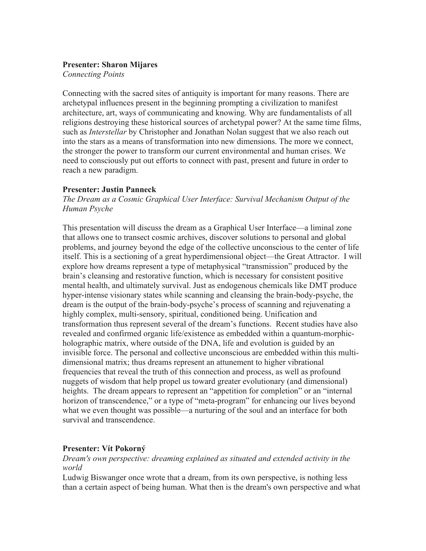## **Presenter: Sharon Mijares**

*Connecting Points* 

Connecting with the sacred sites of antiquity is important for many reasons. There are archetypal influences present in the beginning prompting a civilization to manifest architecture, art, ways of communicating and knowing. Why are fundamentalists of all religions destroying these historical sources of archetypal power? At the same time films, such as *Interstellar* by Christopher and Jonathan Nolan suggest that we also reach out into the stars as a means of transformation into new dimensions. The more we connect, the stronger the power to transform our current environmental and human crises. We need to consciously put out efforts to connect with past, present and future in order to reach a new paradigm.

## **Presenter: Justin Panneck**

*The Dream as a Cosmic Graphical User Interface: Survival Mechanism Output of the Human Psyche* 

This presentation will discuss the dream as a Graphical User Interface—a liminal zone that allows one to transect cosmic archives, discover solutions to personal and global problems, and journey beyond the edge of the collective unconscious to the center of life itself. This is a sectioning of a great hyperdimensional object—the Great Attractor. I will explore how dreams represent a type of metaphysical "transmission" produced by the brain's cleansing and restorative function, which is necessary for consistent positive mental health, and ultimately survival. Just as endogenous chemicals like DMT produce hyper-intense visionary states while scanning and cleansing the brain-body-psyche, the dream is the output of the brain-body-psyche's process of scanning and rejuvenating a highly complex, multi-sensory, spiritual, conditioned being. Unification and transformation thus represent several of the dream's functions. Recent studies have also revealed and confirmed organic life/existence as embedded within a quantum-morphicholographic matrix, where outside of the DNA, life and evolution is guided by an invisible force. The personal and collective unconscious are embedded within this multidimensional matrix; thus dreams represent an attunement to higher vibrational frequencies that reveal the truth of this connection and process, as well as profound nuggets of wisdom that help propel us toward greater evolutionary (and dimensional) heights. The dream appears to represent an "appetition for completion" or an "internal horizon of transcendence," or a type of "meta-program" for enhancing our lives beyond what we even thought was possible—a nurturing of the soul and an interface for both survival and transcendence.

## **Presenter: Vít Pokorný**

*Dream's own perspective: dreaming explained as situated and extended activity in the world* 

Ludwig Biswanger once wrote that a dream, from its own perspective, is nothing less than a certain aspect of being human. What then is the dream's own perspective and what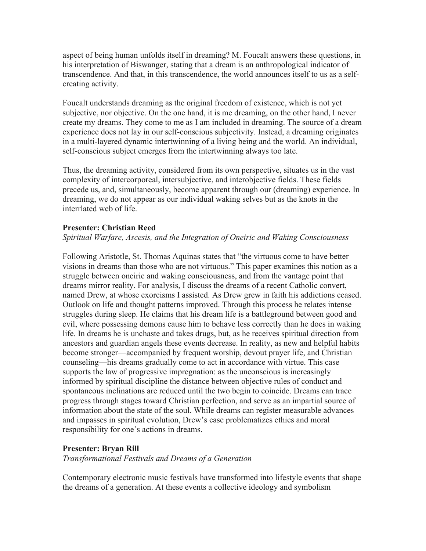aspect of being human unfolds itself in dreaming? M. Foucalt answers these questions, in his interpretation of Biswanger, stating that a dream is an anthropological indicator of transcendence. And that, in this transcendence, the world announces itself to us as a selfcreating activity.

Foucalt understands dreaming as the original freedom of existence, which is not yet subjective, nor objective. On the one hand, it is me dreaming, on the other hand, I never create my dreams. They come to me as I am included in dreaming. The source of a dream experience does not lay in our self-conscious subjectivity. Instead, a dreaming originates in a multi-layered dynamic intertwinning of a living being and the world. An individual, self-conscious subject emerges from the intertwinning always too late.

Thus, the dreaming activity, considered from its own perspective, situates us in the vast complexity of intercorporeal, intersubjective, and interobjective fields. These fields precede us, and, simultaneously, become apparent through our (dreaming) experience. In dreaming, we do not appear as our individual waking selves but as the knots in the interrlated web of life.

## **Presenter: Christian Reed**

## *Spiritual Warfare, Ascesis, and the Integration of Oneiric and Waking Consciousness*

Following Aristotle, St. Thomas Aquinas states that "the virtuous come to have better visions in dreams than those who are not virtuous." This paper examines this notion as a struggle between oneiric and waking consciousness, and from the vantage point that dreams mirror reality. For analysis, I discuss the dreams of a recent Catholic convert, named Drew, at whose exorcisms I assisted. As Drew grew in faith his addictions ceased. Outlook on life and thought patterns improved. Through this process he relates intense struggles during sleep. He claims that his dream life is a battleground between good and evil, where possessing demons cause him to behave less correctly than he does in waking life. In dreams he is unchaste and takes drugs, but, as he receives spiritual direction from ancestors and guardian angels these events decrease. In reality, as new and helpful habits become stronger—accompanied by frequent worship, devout prayer life, and Christian counseling—his dreams gradually come to act in accordance with virtue. This case supports the law of progressive impregnation: as the unconscious is increasingly informed by spiritual discipline the distance between objective rules of conduct and spontaneous inclinations are reduced until the two begin to coincide. Dreams can trace progress through stages toward Christian perfection, and serve as an impartial source of information about the state of the soul. While dreams can register measurable advances and impasses in spiritual evolution, Drew's case problematizes ethics and moral responsibility for one's actions in dreams.

## **Presenter: Bryan Rill**

*Transformational Festivals and Dreams of a Generation* 

Contemporary electronic music festivals have transformed into lifestyle events that shape the dreams of a generation. At these events a collective ideology and symbolism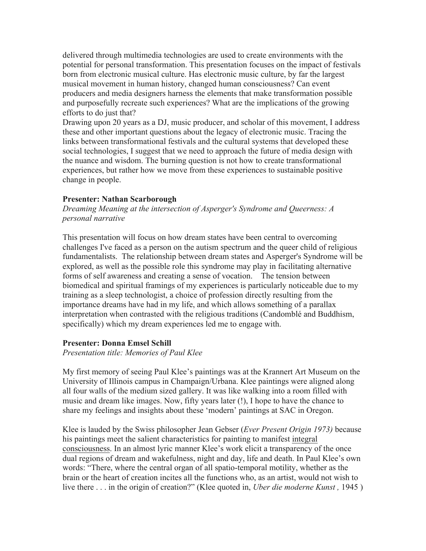delivered through multimedia technologies are used to create environments with the potential for personal transformation. This presentation focuses on the impact of festivals born from electronic musical culture. Has electronic music culture, by far the largest musical movement in human history, changed human consciousness? Can event producers and media designers harness the elements that make transformation possible and purposefully recreate such experiences? What are the implications of the growing efforts to do just that?

Drawing upon 20 years as a DJ, music producer, and scholar of this movement, I address these and other important questions about the legacy of electronic music. Tracing the links between transformational festivals and the cultural systems that developed these social technologies, I suggest that we need to approach the future of media design with the nuance and wisdom. The burning question is not how to create transformational experiences, but rather how we move from these experiences to sustainable positive change in people.

#### **Presenter: Nathan Scarborough**

*Dreaming Meaning at the intersection of Asperger's Syndrome and Queerness: A personal narrative* 

This presentation will focus on how dream states have been central to overcoming challenges I've faced as a person on the autism spectrum and the queer child of religious fundamentalists. The relationship between dream states and Asperger's Syndrome will be explored, as well as the possible role this syndrome may play in facilitating alternative forms of self awareness and creating a sense of vocation. The tension between biomedical and spiritual framings of my experiences is particularly noticeable due to my training as a sleep technologist, a choice of profession directly resulting from the importance dreams have had in my life, and which allows something of a parallax interpretation when contrasted with the religious traditions (Candomblé and Buddhism, specifically) which my dream experiences led me to engage with.

#### **Presenter: Donna Emsel Schill**

*Presentation title: Memories of Paul Klee*

My first memory of seeing Paul Klee's paintings was at the Krannert Art Museum on the University of Illinois campus in Champaign/Urbana. Klee paintings were aligned along all four walls of the medium sized gallery. It was like walking into a room filled with music and dream like images. Now, fifty years later (!), I hope to have the chance to share my feelings and insights about these 'modern' paintings at SAC in Oregon.

Klee is lauded by the Swiss philosopher Jean Gebser (*Ever Present Origin 1973)* because his paintings meet the salient characteristics for painting to manifest integral consciousness. In an almost lyric manner Klee's work elicit a transparency of the once dual regions of dream and wakefulness, night and day, life and death. In Paul Klee's own words: "There, where the central organ of all spatio-temporal motility, whether as the brain or the heart of creation incites all the functions who, as an artist, would not wish to live there . . . in the origin of creation?" (Klee quoted in, *Uber die moderne Kunst ,* 1945 )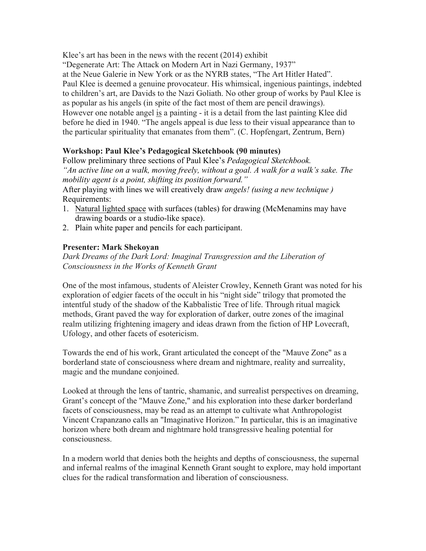Klee's art has been in the news with the recent (2014) exhibit

"Degenerate Art: The Attack on Modern Art in Nazi Germany, 1937"

at the Neue Galerie in New York or as the NYRB states, "The Art Hitler Hated". Paul Klee is deemed a genuine provocateur. His whimsical, ingenious paintings, indebted to children's art, are Davids to the Nazi Goliath. No other group of works by Paul Klee is as popular as his angels (in spite of the fact most of them are pencil drawings). However one notable angel is a painting - it is a detail from the last painting Klee did before he died in 1940. "The angels appeal is due less to their visual appearance than to the particular spirituality that emanates from them". (C. Hopfengart, Zentrum, Bern)

# **Workshop: Paul Klee's Pedagogical Sketchbook (90 minutes)**

Follow preliminary three sections of Paul Klee's *Pedagogical Sketchbook. "An active line on a walk, moving freely, without a goal. A walk for a walk's sake. The mobility agent is a point, shifting its position forward."*

After playing with lines we will creatively draw *angels! (using a new technique )* Requirements:

- 1. Natural lighted space with surfaces (tables) for drawing (McMenamins may have drawing boards or a studio-like space).
- 2. Plain white paper and pencils for each participant.

# **Presenter: Mark Shekoyan**

*Dark Dreams of the Dark Lord: Imaginal Transgression and the Liberation of Consciousness in the Works of Kenneth Grant* 

One of the most infamous, students of Aleister Crowley, Kenneth Grant was noted for his exploration of edgier facets of the occult in his "night side" trilogy that promoted the intentful study of the shadow of the Kabbalistic Tree of life. Through ritual magick methods, Grant paved the way for exploration of darker, outre zones of the imaginal realm utilizing frightening imagery and ideas drawn from the fiction of HP Lovecraft, Ufology, and other facets of esotericism.

Towards the end of his work, Grant articulated the concept of the "Mauve Zone" as a borderland state of consciousness where dream and nightmare, reality and surreality, magic and the mundane conjoined.

Looked at through the lens of tantric, shamanic, and surrealist perspectives on dreaming, Grant's concept of the "Mauve Zone," and his exploration into these darker borderland facets of consciousness, may be read as an attempt to cultivate what Anthropologist Vincent Crapanzano calls an "Imaginative Horizon." In particular, this is an imaginative horizon where both dream and nightmare hold transgressive healing potential for consciousness.

In a modern world that denies both the heights and depths of consciousness, the supernal and infernal realms of the imaginal Kenneth Grant sought to explore, may hold important clues for the radical transformation and liberation of consciousness.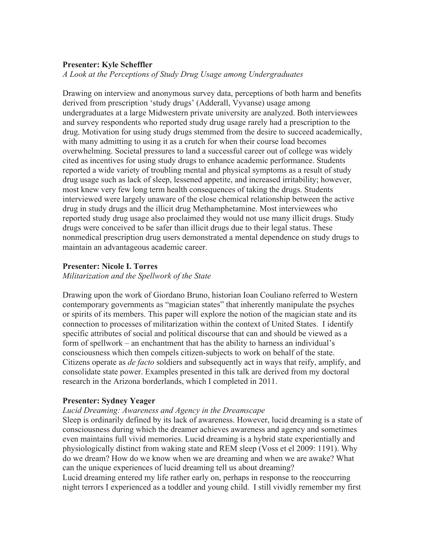## **Presenter: Kyle Scheffler**

*A Look at the Perceptions of Study Drug Usage among Undergraduates* 

Drawing on interview and anonymous survey data, perceptions of both harm and benefits derived from prescription 'study drugs' (Adderall, Vyvanse) usage among undergraduates at a large Midwestern private university are analyzed. Both interviewees and survey respondents who reported study drug usage rarely had a prescription to the drug. Motivation for using study drugs stemmed from the desire to succeed academically, with many admitting to using it as a crutch for when their course load becomes overwhelming. Societal pressures to land a successful career out of college was widely cited as incentives for using study drugs to enhance academic performance. Students reported a wide variety of troubling mental and physical symptoms as a result of study drug usage such as lack of sleep, lessened appetite, and increased irritability; however, most knew very few long term health consequences of taking the drugs. Students interviewed were largely unaware of the close chemical relationship between the active drug in study drugs and the illicit drug Methamphetamine. Most interviewees who reported study drug usage also proclaimed they would not use many illicit drugs. Study drugs were conceived to be safer than illicit drugs due to their legal status. These nonmedical prescription drug users demonstrated a mental dependence on study drugs to maintain an advantageous academic career.

## **Presenter: Nicole I. Torres**

*Militarization and the Spellwork of the State*

Drawing upon the work of Giordano Bruno, historian Ioan Couliano referred to Western contemporary governments as "magician states" that inherently manipulate the psyches or spirits of its members. This paper will explore the notion of the magician state and its connection to processes of militarization within the context of United States. I identify specific attributes of social and political discourse that can and should be viewed as a form of spellwork – an enchantment that has the ability to harness an individual's consciousness which then compels citizen-subjects to work on behalf of the state. Citizens operate as *de facto* soldiers and subsequently act in ways that reify, amplify, and consolidate state power. Examples presented in this talk are derived from my doctoral research in the Arizona borderlands, which I completed in 2011.

## **Presenter: Sydney Yeager**

#### *Lucid Dreaming: Awareness and Agency in the Dreamscape*

Sleep is ordinarily defined by its lack of awareness. However, lucid dreaming is a state of consciousness during which the dreamer achieves awareness and agency and sometimes even maintains full vivid memories. Lucid dreaming is a hybrid state experientially and physiologically distinct from waking state and REM sleep (Voss et el 2009: 1191). Why do we dream? How do we know when we are dreaming and when we are awake? What can the unique experiences of lucid dreaming tell us about dreaming? Lucid dreaming entered my life rather early on, perhaps in response to the reoccurring night terrors I experienced as a toddler and young child. I still vividly remember my first